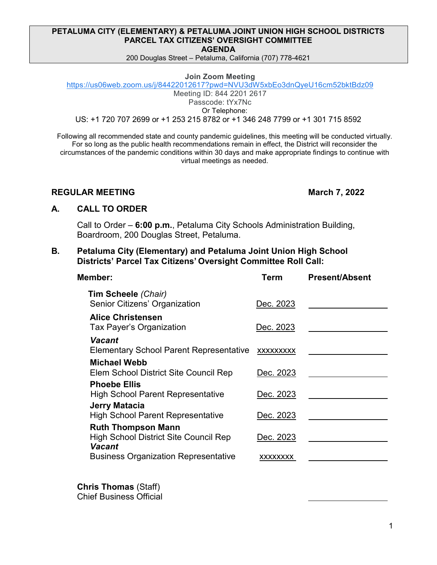### **PETALUMA CITY (ELEMENTARY) & PETALUMA JOINT UNION HIGH SCHOOL DISTRICTS PARCEL TAX CITIZENS' OVERSIGHT COMMITTEE AGENDA**

200 Douglas Street – Petaluma, California (707) 778-4621

#### **Join Zoom Meeting**

[https://us06web.zoom.us/j/84422012617?pwd=NVU3dW5xbEo3dnQyeU16cm52bktBdz09](https://www.google.com/url?q=https://us06web.zoom.us/j/84422012617?pwd%3DNVU3dW5xbEo3dnQyeU16cm52bktBdz09&sa=D&source=calendar&ust=1646155403521692&usg=AOvVaw2YtTRmMk_inEpBkH_-iwcW) Meeting ID: 844 2201 2617 Passcode: tYx7Nc

Or Telephone:

US: +1 720 707 2699 or +1 253 215 8782 or +1 346 248 7799 or +1 301 715 8592

Following all recommended state and county pandemic guidelines, this meeting will be conducted virtually. For so long as the public health recommendations remain in effect, the District will reconsider the circumstances of the pandemic conditions within 30 days and make appropriate findings to continue with virtual meetings as needed.

## **REGULAR MEETING March 7, 2022**

## **A. CALL TO ORDER**

Call to Order – **6:00 p.m.**, Petaluma City Schools Administration Building, Boardroom, 200 Douglas Street, Petaluma.

# **B. Petaluma City (Elementary) and Petaluma Joint Union High School Districts' Parcel Tax Citizens' Oversight Committee Roll Call:**

| Member:                                                                   | Term            | <b>Present/Absent</b> |
|---------------------------------------------------------------------------|-----------------|-----------------------|
| Tim Scheele (Chair)<br>Senior Citizens' Organization                      | Dec. 2023       |                       |
| <b>Alice Christensen</b><br>Tax Payer's Organization                      | Dec. 2023       |                       |
| Vacant<br><b>Elementary School Parent Representative</b>                  | XXXXXXXX        |                       |
| Michael Webb<br>Elem School District Site Council Rep                     | Dec. 2023       |                       |
| <b>Phoebe Ellis</b><br><b>High School Parent Representative</b>           | Dec. 2023       |                       |
| Jerry Matacia<br><b>High School Parent Representative</b>                 | Dec. 2023       |                       |
| <b>Ruth Thompson Mann</b><br><b>High School District Site Council Rep</b> | Dec. 2023       |                       |
| Vacant<br><b>Business Organization Representative</b>                     | <b>XXXXXXXX</b> |                       |
|                                                                           |                 |                       |

**Chris Thomas** (Staff) Chief Business Official